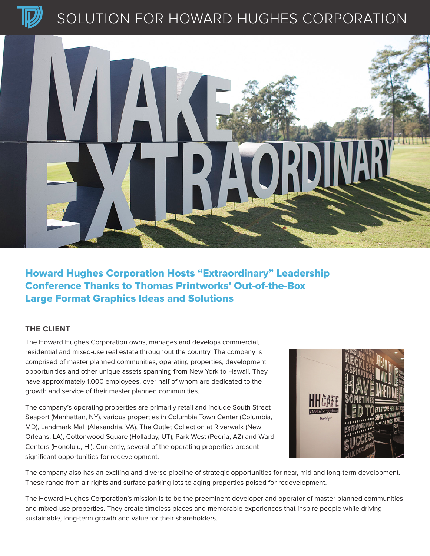

# SOLUTION FOR HOWARD HUGHES CORPORATION



### Howard Hughes Corporation Hosts "Extraordinary" Leadership Conference Thanks to Thomas Printworks' Out-of-the-Box Large Format Graphics Ideas and Solutions

### **THE CLIENT**

The Howard Hughes Corporation owns, manages and develops commercial, residential and mixed-use real estate throughout the country. The company is comprised of master planned communities, operating properties, development opportunities and other unique assets spanning from New York to Hawaii. They have approximately 1,000 employees, over half of whom are dedicated to the growth and service of their master planned communities.

The company's operating properties are primarily retail and include South Street Seaport (Manhattan, NY), various properties in Columbia Town Center (Columbia, MD), Landmark Mall (Alexandria, VA), The Outlet Collection at Riverwalk (New Orleans, LA), Cottonwood Square (Holladay, UT), Park West (Peoria, AZ) and Ward Centers (Honolulu, HI). Currently, several of the operating properties present significant opportunities for redevelopment.



The company also has an exciting and diverse pipeline of strategic opportunities for near, mid and long-term development. These range from air rights and surface parking lots to aging properties poised for redevelopment.

The Howard Hughes Corporation's mission is to be the preeminent developer and operator of master planned communities and mixed-use properties. They create timeless places and memorable experiences that inspire people while driving sustainable, long-term growth and value for their shareholders.